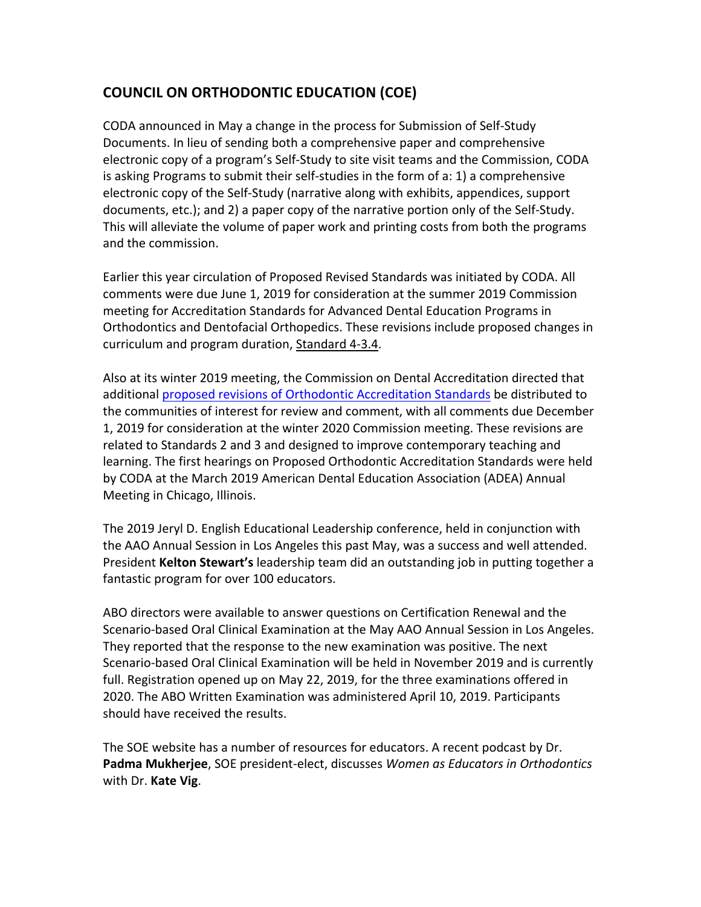## **COUNCIL ON ORTHODONTIC EDUCATION (COE)**

CODA announced in May a change in the process for Submission of Self-Study Documents. In lieu of sending both a comprehensive paper and comprehensive electronic copy of a program's Self-Study to site visit teams and the Commission, CODA is asking Programs to submit their self-studies in the form of a: 1) a comprehensive electronic copy of the Self-Study (narrative along with exhibits, appendices, support documents, etc.); and 2) a paper copy of the narrative portion only of the Self-Study. This will alleviate the volume of paper work and printing costs from both the programs and the commission.

Earlier this year circulation of Proposed Revised Standards was initiated by CODA. All comments were due June 1, 2019 for consideration at the summer 2019 Commission meeting for Accreditation Standards for Advanced Dental Education Programs in Orthodontics and Dentofacial Orthopedics. These revisions include proposed changes in curriculum and program duration, Standard 4-3.4.

Also at its winter 2019 meeting, the Commission on Dental Accreditation directed that additional proposed revisions of Orthodontic Accreditation Standards be distributed to the communities of interest for review and comment, with all comments due December 1, 2019 for consideration at the winter 2020 Commission meeting. These revisions are related to Standards 2 and 3 and designed to improve contemporary teaching and learning. The first hearings on Proposed Orthodontic Accreditation Standards were held by CODA at the March 2019 American Dental Education Association (ADEA) Annual Meeting in Chicago, Illinois.

The 2019 Jeryl D. English Educational Leadership conference, held in conjunction with the AAO Annual Session in Los Angeles this past May, was a success and well attended. President **Kelton Stewart's** leadership team did an outstanding job in putting together a fantastic program for over 100 educators.

ABO directors were available to answer questions on Certification Renewal and the Scenario-based Oral Clinical Examination at the May AAO Annual Session in Los Angeles. They reported that the response to the new examination was positive. The next Scenario-based Oral Clinical Examination will be held in November 2019 and is currently full. Registration opened up on May 22, 2019, for the three examinations offered in 2020. The ABO Written Examination was administered April 10, 2019. Participants should have received the results.

The SOE website has a number of resources for educators. A recent podcast by Dr. **Padma Mukherjee**, SOE president-elect, discusses *Women as Educators in Orthodontics* with Dr. Kate Vig.